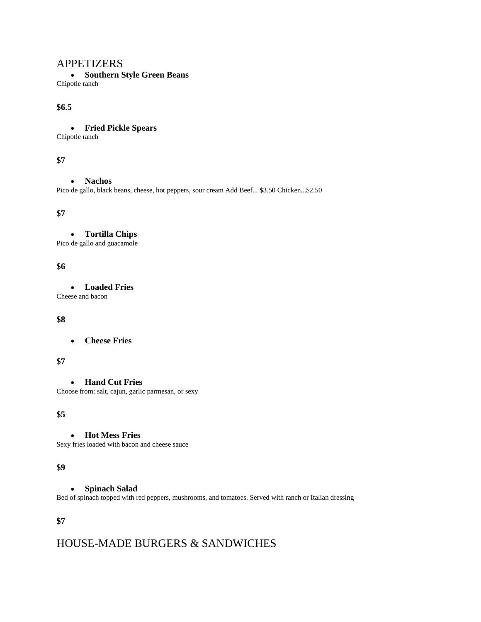## APPETIZERS

#### • **Southern Style Green Beans**

Chipotle ranch

## **\$6.5**

#### • **Fried Pickle Spears**

Chipotle ranch

## **\$7**

## • **Nachos**

Pico de gallo, black beans, cheese, hot peppers, sour cream Add Beef... \$3.50 Chicken...\$2.50

## **\$7**

• **Tortilla Chips**

Pico de gallo and guacamole

## **\$6**

• **Loaded Fries**

Cheese and bacon

## **\$8**

## • **Cheese Fries**

## **\$7**

• **Hand Cut Fries**

Choose from: salt, cajun, garlic parmesan, or sexy

## **\$5**

## • **Hot Mess Fries**

Sexy fries loaded with bacon and cheese sauce

## **\$9**

## • **Spinach Salad**

Bed of spinach topped with red peppers, mushrooms, and tomatoes. Served with ranch or Italian dressing

# **\$7**

# HOUSE-MADE BURGERS & SANDWICHES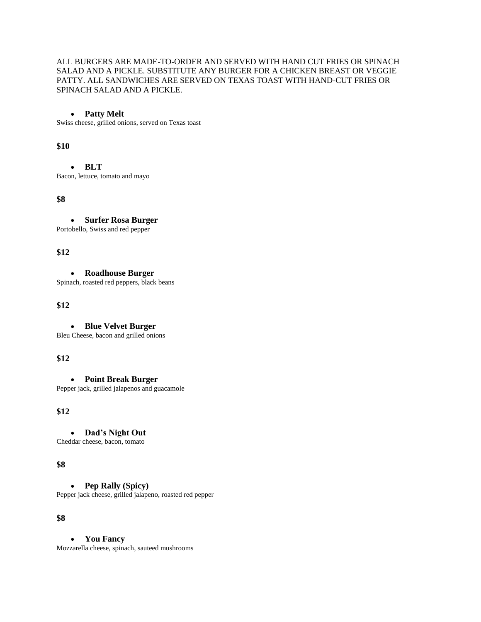#### ALL BURGERS ARE MADE-TO-ORDER AND SERVED WITH HAND CUT FRIES OR SPINACH SALAD AND A PICKLE. SUBSTITUTE ANY BURGER FOR A CHICKEN BREAST OR VEGGIE PATTY. ALL SANDWICHES ARE SERVED ON TEXAS TOAST WITH HAND-CUT FRIES OR SPINACH SALAD AND A PICKLE.

#### • **Patty Melt**

Swiss cheese, grilled onions, served on Texas toast

#### **\$10**

• **BLT** Bacon, lettuce, tomato and mayo

## **\$8**

• **Surfer Rosa Burger**

Portobello, Swiss and red pepper

## **\$12**

• **Roadhouse Burger** Spinach, roasted red peppers, black beans

#### **\$12**

• **Blue Velvet Burger** Bleu Cheese, bacon and grilled onions

#### **\$12**

• **Point Break Burger** Pepper jack, grilled jalapenos and guacamole

## **\$12**

• **Dad's Night Out**

Cheddar cheese, bacon, tomato

#### **\$8**

• **Pep Rally (Spicy)** Pepper jack cheese, grilled jalapeno, roasted red pepper

#### **\$8**

• **You Fancy** Mozzarella cheese, spinach, sauteed mushrooms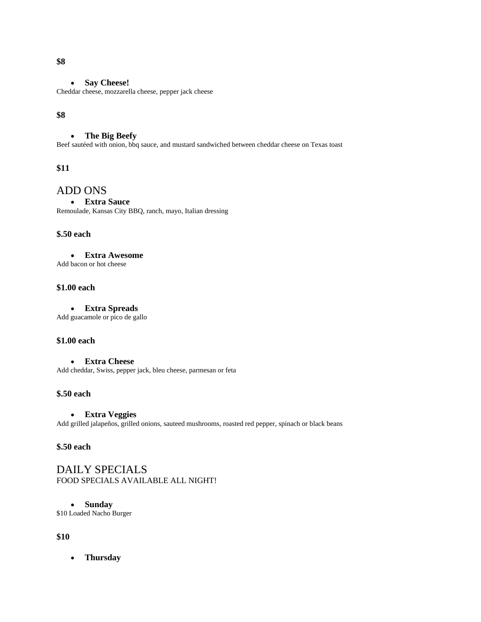## **\$8**

• **Say Cheese!**

Cheddar cheese, mozzarella cheese, pepper jack cheese

## **\$8**

#### • **The Big Beefy**

Beef sautéed with onion, bbq sauce, and mustard sandwiched between cheddar cheese on Texas toast

#### **\$11**

# ADD ONS

# • **Extra Sauce**

Remoulade, Kansas City BBQ, ranch, mayo, Italian dressing

#### **\$.50 each**

• **Extra Awesome**

Add bacon or hot cheese

## **\$1.00 each**

• **Extra Spreads**

Add guacamole or pico de gallo

#### **\$1.00 each**

#### • **Extra Cheese** Add cheddar, Swiss, pepper jack, bleu cheese, parmesan or feta

## **\$.50 each**

#### • **Extra Veggies**

Add grilled jalapeños, grilled onions, sauteed mushrooms, roasted red pepper, spinach or black beans

#### **\$.50 each**

# DAILY SPECIALS FOOD SPECIALS AVAILABLE ALL NIGHT!

#### • **Sunday**

\$10 Loaded Nacho Burger

## **\$10**

• **Thursday**